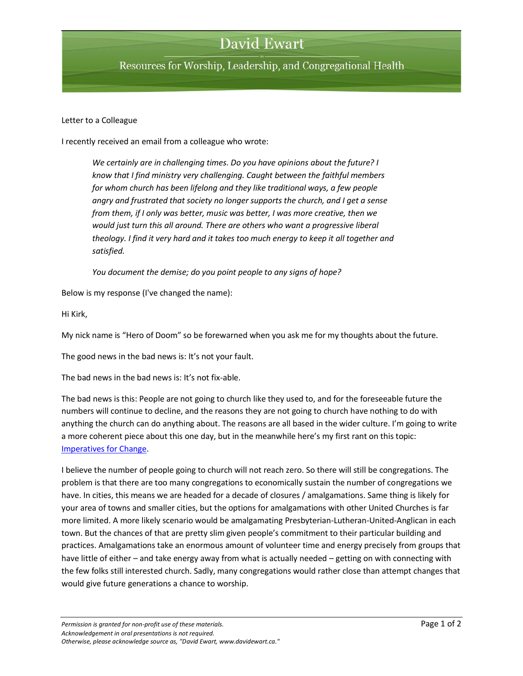## **David Ewart**

Resources for Worship, Leadership, and Congregational Health

## Letter to a Colleague

I recently received an email from a colleague who wrote:

*We certainly are in challenging times. Do you have opinions about the future? I know that I find ministry very challenging. Caught between the faithful members for whom church has been lifelong and they like traditional ways, a few people angry and frustrated that society no longer supports the church, and I get a sense from them, if I only was better, music was better, I was more creative, then we would just turn this all around. There are others who want a progressive liberal theology. I find it very hard and it takes too much energy to keep it all together and satisfied.* 

*You document the demise; do you point people to any signs of hope?*

Below is my response (I've changed the name):

Hi Kirk,

My nick name is "Hero of Doom" so be forewarned when you ask me for my thoughts about the future.

The good news in the bad news is: It's not your fault.

The bad news in the bad news is: It's not fix-able.

The bad news is this: People are not going to church like they used to, and for the foreseeable future the numbers will continue to decline, and the reasons they are not going to church have nothing to do with anything the church can do anything about. The reasons are all based in the wider culture. I'm going to write a more coherent piece about this one day, but in the meanwhile here's my first rant on this topic: [Imperatives for Change.](http://www.davidewart.ca/2010/10/a-response-to-the-united-church-at-100-imperatives-for-change.html)

I believe the number of people going to church will not reach zero. So there will still be congregations. The problem is that there are too many congregations to economically sustain the number of congregations we have. In cities, this means we are headed for a decade of closures / amalgamations. Same thing is likely for your area of towns and smaller cities, but the options for amalgamations with other United Churches is far more limited. A more likely scenario would be amalgamating Presbyterian-Lutheran-United-Anglican in each town. But the chances of that are pretty slim given people's commitment to their particular building and practices. Amalgamations take an enormous amount of volunteer time and energy precisely from groups that have little of either – and take energy away from what is actually needed – getting on with connecting with the few folks still interested church. Sadly, many congregations would rather close than attempt changes that would give future generations a chance to worship.